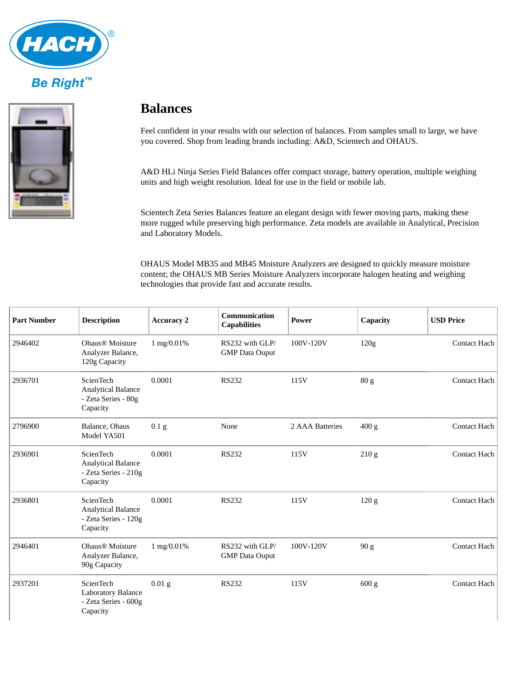



## **Balances**

Feel confident in your results with our selection of balances. From samples small to large, we have you covered. Shop from leading brands including: A&D, Scientech and OHAUS.

A&D HLi Ninja Series Field Balances offer compact storage, battery operation, multiple weighing units and high weight resolution. Ideal for use in the field or mobile lab.

Scientech Zeta Series Balances feature an elegant design with fewer moving parts, making these more rugged while preserving high performance. Zeta models are available in Analytical, Precision and Laboratory Models.

OHAUS Model MB35 and MB45 Moisture Analyzers are designed to quickly measure moisture content; the OHAUS MB Series Moisture Analyzers incorporate halogen heating and weighing technologies that provide fast and accurate results.

| <b>Part Number</b> | <b>Description</b>                                                                | <b>Accuracy 2</b> | <b>Communication</b><br><b>Capabilities</b> | Power           | <b>Capacity</b>  | <b>USD Price</b>    |
|--------------------|-----------------------------------------------------------------------------------|-------------------|---------------------------------------------|-----------------|------------------|---------------------|
| 2946402            | Ohaus® Moisture<br>Analyzer Balance,<br>120g Capacity                             | 1 mg/0.01%        | RS232 with GLP/<br><b>GMP</b> Data Ouput    | 100V-120V       | 120 <sub>g</sub> | <b>Contact Hach</b> |
| 2936701            | <b>ScienTech</b><br><b>Analytical Balance</b><br>- Zeta Series - 80g<br>Capacity  | 0.0001            | <b>RS232</b>                                | 115V            | 80 <sub>g</sub>  | Contact Hach        |
| 2796900            | Balance, Ohaus<br>Model YA501                                                     | 0.1 <sub>g</sub>  | None                                        | 2 AAA Batteries | 400 g            | Contact Hach        |
| 2936901            | <b>ScienTech</b><br><b>Analytical Balance</b><br>- Zeta Series - 210g<br>Capacity | 0.0001            | <b>RS232</b>                                | 115V            | 210g             | Contact Hach        |
| 2936801            | ScienTech<br><b>Analytical Balance</b><br>- Zeta Series - 120g<br>Capacity        | 0.0001            | <b>RS232</b>                                | 115V            | 120 <sub>g</sub> | Contact Hach        |
| 2946401            | Ohaus® Moisture<br>Analyzer Balance,<br>90g Capacity                              | 1 mg/0.01%        | RS232 with GLP/<br><b>GMP</b> Data Ouput    | 100V-120V       | 90 g             | <b>Contact Hach</b> |
| 2937201            | ScienTech<br><b>Laboratory Balance</b><br>- Zeta Series - 600g<br>Capacity        | $0.01$ g          | <b>RS232</b>                                | 115V            | 600 g            | Contact Hach        |